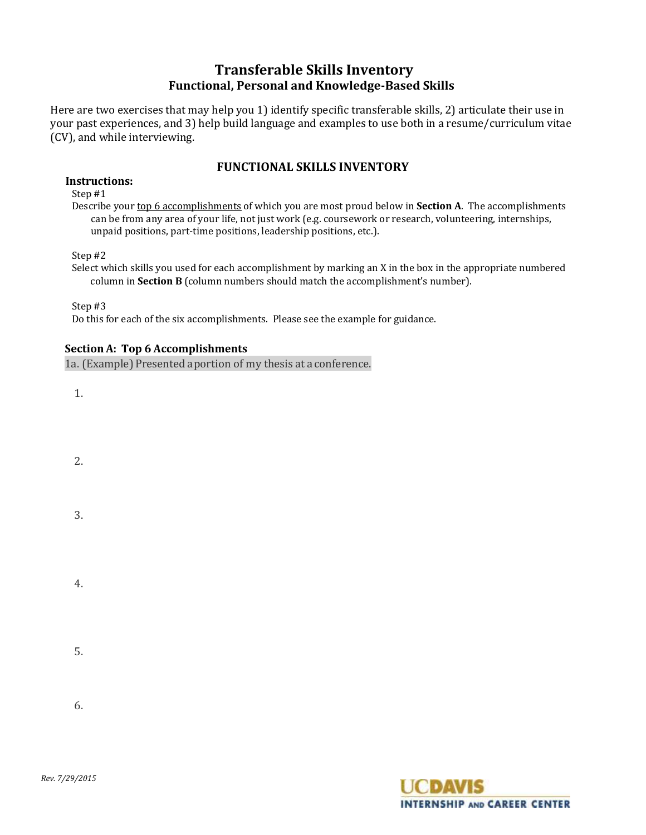# **Transferable Skills Inventory Functional, Personal and Knowledge-Based Skills**

Here are two exercises that may help you 1) identify specific transferable skills, 2) articulate their use in your past experiences, and 3) help build language and examples to use both in a resume/curriculum vitae (CV), and while interviewing.

# **FUNCTIONAL SKILLS INVENTORY**

#### **Instructions:**

Step #1

Describe your top 6 accomplishments of which you are most proud below in **Section A**. The accomplishments can be from any area of your life, not just work (e.g. coursework or research, volunteering, internships, unpaid positions, part-time positions, leadership positions, etc.).

Step #2

Select which skills you used for each accomplishment by marking an X in the box in the appropriate numbered column in **Section B** (column numbers should match the accomplishment's number).

Step #3

Do this for each of the six accomplishments. Please see the example for guidance.

# **SectionA: Top 6 Accomplishments**

1a. (Example) Presented a portion of my thesis at a conference.

1.

- 2.
- 3.

4.

5.

6.

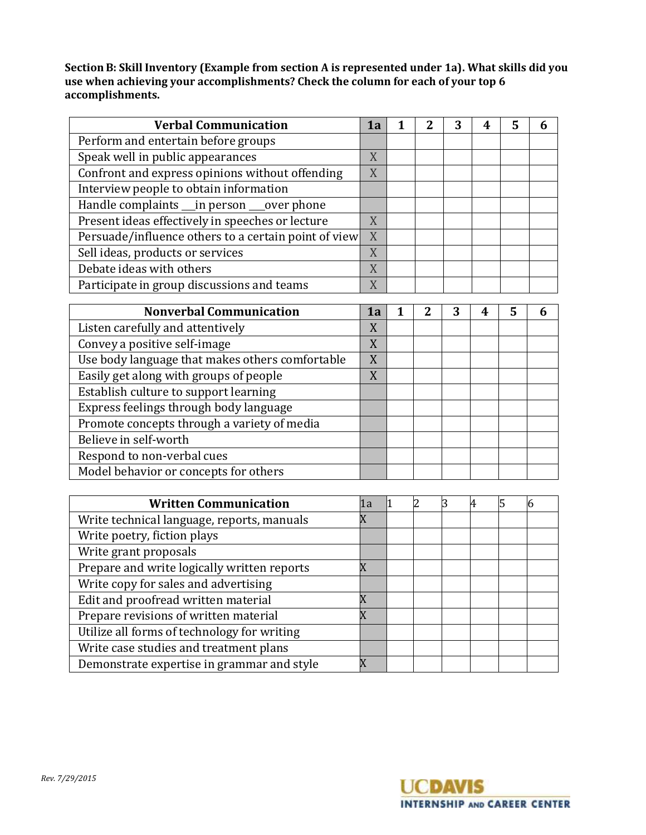**SectionB: Skill Inventory (Example from section A is represented under 1a). What skills did you use when achieving your accomplishments? Check the column for each of your top 6 accomplishments.**

| <b>Verbal Communication</b>                          | 1a |  | 4 | 5 | n |
|------------------------------------------------------|----|--|---|---|---|
| Perform and entertain before groups                  |    |  |   |   |   |
| Speak well in public appearances                     | X  |  |   |   |   |
| Confront and express opinions without offending      | X  |  |   |   |   |
| Interview people to obtain information               |    |  |   |   |   |
| Handle complaints __ in person ___ over phone        |    |  |   |   |   |
| Present ideas effectively in speeches or lecture     | X  |  |   |   |   |
| Persuade/influence others to a certain point of view | X  |  |   |   |   |
| Sell ideas, products or services                     | X  |  |   |   |   |
| Debate ideas with others                             | X  |  |   |   |   |
| Participate in group discussions and teams           | X  |  |   |   |   |

| <b>Nonverbal Communication</b>                  | 1a |  |  | 5 |  |
|-------------------------------------------------|----|--|--|---|--|
| Listen carefully and attentively                | X  |  |  |   |  |
| Convey a positive self-image                    | X  |  |  |   |  |
| Use body language that makes others comfortable | X  |  |  |   |  |
| Easily get along with groups of people          | X  |  |  |   |  |
| Establish culture to support learning           |    |  |  |   |  |
| Express feelings through body language          |    |  |  |   |  |
| Promote concepts through a variety of media     |    |  |  |   |  |
| Believe in self-worth                           |    |  |  |   |  |
| Respond to non-verbal cues                      |    |  |  |   |  |
| Model behavior or concepts for others           |    |  |  |   |  |

| <b>Written Communication</b>                | 1a |  | 4 |  |
|---------------------------------------------|----|--|---|--|
| Write technical language, reports, manuals  |    |  |   |  |
| Write poetry, fiction plays                 |    |  |   |  |
| Write grant proposals                       |    |  |   |  |
| Prepare and write logically written reports |    |  |   |  |
| Write copy for sales and advertising        |    |  |   |  |
| Edit and proofread written material         |    |  |   |  |
| Prepare revisions of written material       |    |  |   |  |
| Utilize all forms of technology for writing |    |  |   |  |
| Write case studies and treatment plans      |    |  |   |  |
| Demonstrate expertise in grammar and style  |    |  |   |  |

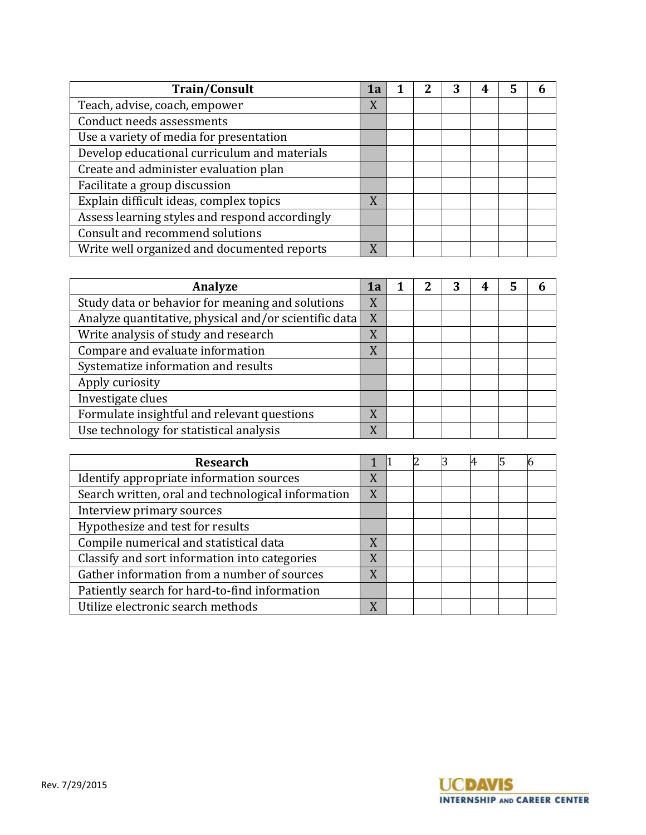| <b>Train/Consult</b>                           | 1a |  | 4 | 5 | n |
|------------------------------------------------|----|--|---|---|---|
| Teach, advise, coach, empower                  | X  |  |   |   |   |
| Conduct needs assessments                      |    |  |   |   |   |
| Use a variety of media for presentation        |    |  |   |   |   |
| Develop educational curriculum and materials   |    |  |   |   |   |
| Create and administer evaluation plan          |    |  |   |   |   |
| Facilitate a group discussion                  |    |  |   |   |   |
| Explain difficult ideas, complex topics        | X  |  |   |   |   |
| Assess learning styles and respond accordingly |    |  |   |   |   |
| Consult and recommend solutions                |    |  |   |   |   |
| Write well organized and documented reports    | X  |  |   |   |   |

| Analyze                                               | 1a |  | 4 | 5 | n |
|-------------------------------------------------------|----|--|---|---|---|
| Study data or behavior for meaning and solutions      | X  |  |   |   |   |
| Analyze quantitative, physical and/or scientific data | X  |  |   |   |   |
| Write analysis of study and research                  | X  |  |   |   |   |
| Compare and evaluate information                      | X  |  |   |   |   |
| Systematize information and results                   |    |  |   |   |   |
| Apply curiosity                                       |    |  |   |   |   |
| Investigate clues                                     |    |  |   |   |   |
| Formulate insightful and relevant questions           | X  |  |   |   |   |
| Use technology for statistical analysis               | X  |  |   |   |   |

| <b>Research</b>                                    |   |  | 4 |  |
|----------------------------------------------------|---|--|---|--|
| Identify appropriate information sources           | X |  |   |  |
| Search written, oral and technological information | X |  |   |  |
| Interview primary sources                          |   |  |   |  |
| Hypothesize and test for results                   |   |  |   |  |
| Compile numerical and statistical data             | X |  |   |  |
| Classify and sort information into categories      | X |  |   |  |
| Gather information from a number of sources        | X |  |   |  |
| Patiently search for hard-to-find information      |   |  |   |  |
| Utilize electronic search methods                  | X |  |   |  |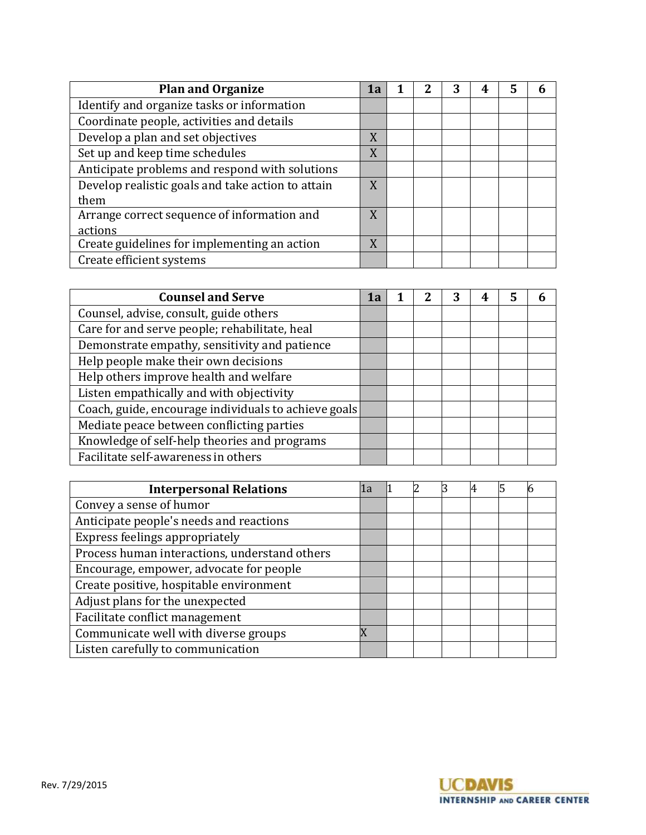| <b>Plan and Organize</b>                          | 1a |  | 4 | 5 | 6 |
|---------------------------------------------------|----|--|---|---|---|
| Identify and organize tasks or information        |    |  |   |   |   |
| Coordinate people, activities and details         |    |  |   |   |   |
| Develop a plan and set objectives                 | X  |  |   |   |   |
| Set up and keep time schedules                    | X  |  |   |   |   |
| Anticipate problems and respond with solutions    |    |  |   |   |   |
| Develop realistic goals and take action to attain | X  |  |   |   |   |
| them                                              |    |  |   |   |   |
| Arrange correct sequence of information and       | X  |  |   |   |   |
| actions                                           |    |  |   |   |   |
| Create guidelines for implementing an action      | X  |  |   |   |   |
| Create efficient systems                          |    |  |   |   |   |

| <b>Counsel and Serve</b>                             | 1a |  | 4 | 5 |  |
|------------------------------------------------------|----|--|---|---|--|
| Counsel, advise, consult, guide others               |    |  |   |   |  |
| Care for and serve people; rehabilitate, heal        |    |  |   |   |  |
| Demonstrate empathy, sensitivity and patience        |    |  |   |   |  |
| Help people make their own decisions                 |    |  |   |   |  |
| Help others improve health and welfare               |    |  |   |   |  |
| Listen empathically and with objectivity             |    |  |   |   |  |
| Coach, guide, encourage individuals to achieve goals |    |  |   |   |  |
| Mediate peace between conflicting parties            |    |  |   |   |  |
| Knowledge of self-help theories and programs         |    |  |   |   |  |
| Facilitate self-awareness in others                  |    |  |   |   |  |

| <b>Interpersonal Relations</b>                | 1a |  |  | Ю |
|-----------------------------------------------|----|--|--|---|
| Convey a sense of humor                       |    |  |  |   |
| Anticipate people's needs and reactions       |    |  |  |   |
| Express feelings appropriately                |    |  |  |   |
| Process human interactions, understand others |    |  |  |   |
| Encourage, empower, advocate for people       |    |  |  |   |
| Create positive, hospitable environment       |    |  |  |   |
| Adjust plans for the unexpected               |    |  |  |   |
| Facilitate conflict management                |    |  |  |   |
| Communicate well with diverse groups          |    |  |  |   |
| Listen carefully to communication             |    |  |  |   |

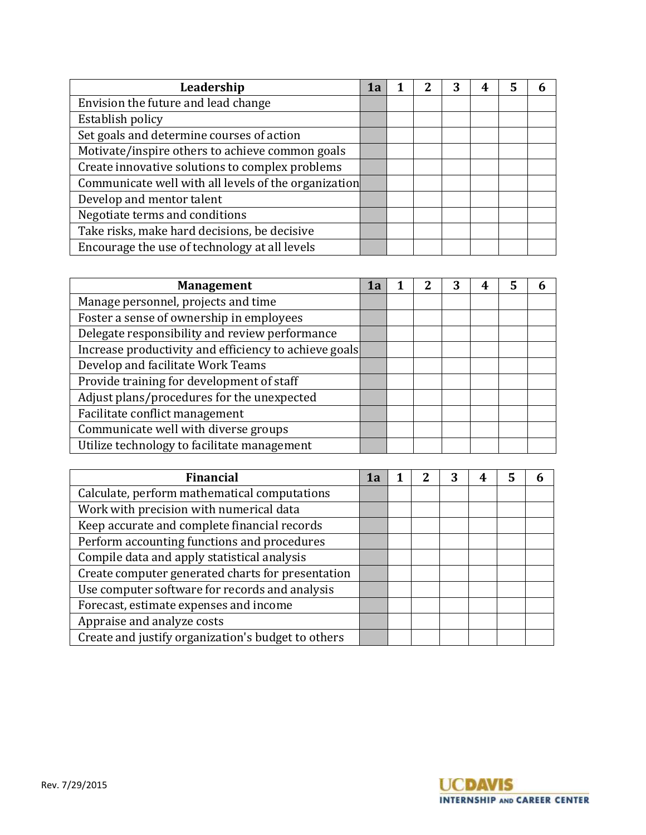| Leadership                                           | 1a |  |  | 5 |  |
|------------------------------------------------------|----|--|--|---|--|
| Envision the future and lead change                  |    |  |  |   |  |
| Establish policy                                     |    |  |  |   |  |
| Set goals and determine courses of action            |    |  |  |   |  |
| Motivate/inspire others to achieve common goals      |    |  |  |   |  |
| Create innovative solutions to complex problems      |    |  |  |   |  |
| Communicate well with all levels of the organization |    |  |  |   |  |
| Develop and mentor talent                            |    |  |  |   |  |
| Negotiate terms and conditions                       |    |  |  |   |  |
| Take risks, make hard decisions, be decisive         |    |  |  |   |  |
| Encourage the use of technology at all levels        |    |  |  |   |  |

| <b>Management</b>                                     | 1а |  | 4 | 5 | n |
|-------------------------------------------------------|----|--|---|---|---|
| Manage personnel, projects and time                   |    |  |   |   |   |
| Foster a sense of ownership in employees              |    |  |   |   |   |
| Delegate responsibility and review performance        |    |  |   |   |   |
| Increase productivity and efficiency to achieve goals |    |  |   |   |   |
| Develop and facilitate Work Teams                     |    |  |   |   |   |
| Provide training for development of staff             |    |  |   |   |   |
| Adjust plans/procedures for the unexpected            |    |  |   |   |   |
| Facilitate conflict management                        |    |  |   |   |   |
| Communicate well with diverse groups                  |    |  |   |   |   |
| Utilize technology to facilitate management           |    |  |   |   |   |

| <b>Financial</b>                                   | 1а |  |  |  |
|----------------------------------------------------|----|--|--|--|
| Calculate, perform mathematical computations       |    |  |  |  |
| Work with precision with numerical data            |    |  |  |  |
| Keep accurate and complete financial records       |    |  |  |  |
| Perform accounting functions and procedures        |    |  |  |  |
| Compile data and apply statistical analysis        |    |  |  |  |
| Create computer generated charts for presentation  |    |  |  |  |
| Use computer software for records and analysis     |    |  |  |  |
| Forecast, estimate expenses and income             |    |  |  |  |
| Appraise and analyze costs                         |    |  |  |  |
| Create and justify organization's budget to others |    |  |  |  |

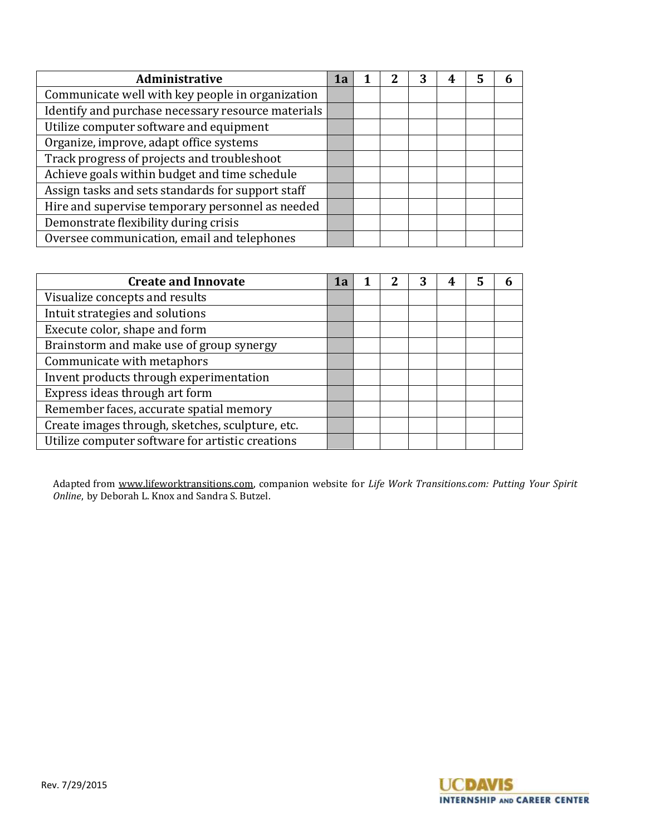| Administrative                                     | 1а |  | 4 | 5 |  |
|----------------------------------------------------|----|--|---|---|--|
| Communicate well with key people in organization   |    |  |   |   |  |
| Identify and purchase necessary resource materials |    |  |   |   |  |
| Utilize computer software and equipment            |    |  |   |   |  |
| Organize, improve, adapt office systems            |    |  |   |   |  |
| Track progress of projects and troubleshoot        |    |  |   |   |  |
| Achieve goals within budget and time schedule      |    |  |   |   |  |
| Assign tasks and sets standards for support staff  |    |  |   |   |  |
| Hire and supervise temporary personnel as needed   |    |  |   |   |  |
| Demonstrate flexibility during crisis              |    |  |   |   |  |
| Oversee communication, email and telephones        |    |  |   |   |  |

| <b>Create and Innovate</b>                       | 1a |  | 4 | 5 |  |
|--------------------------------------------------|----|--|---|---|--|
| Visualize concepts and results                   |    |  |   |   |  |
| Intuit strategies and solutions                  |    |  |   |   |  |
| Execute color, shape and form                    |    |  |   |   |  |
| Brainstorm and make use of group synergy         |    |  |   |   |  |
| Communicate with metaphors                       |    |  |   |   |  |
| Invent products through experimentation          |    |  |   |   |  |
| Express ideas through art form                   |    |  |   |   |  |
| Remember faces, accurate spatial memory          |    |  |   |   |  |
| Create images through, sketches, sculpture, etc. |    |  |   |   |  |
| Utilize computer software for artistic creations |    |  |   |   |  |

Adapted from [www.lifeworktransitions.com,](http://www.lifeworktransitions.com/) companion website for *Life Work Transitions.com: Putting Your Spirit Online*, by Deborah L. Knox and Sandra S. Butzel.

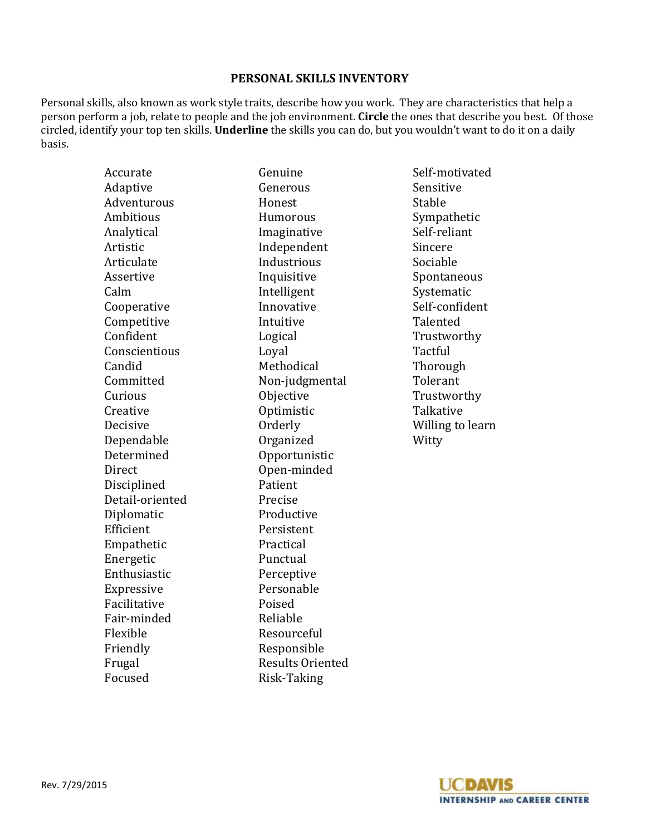# **PERSONAL SKILLS INVENTORY**

Personal skills, also known as work style traits, describe how you work. They are characteristics that help a person perform a job, relate to people and the job environment. **Circle** the ones that describe you best. Of those circled, identify your top ten skills. **Underline** the skills you can do, but you wouldn't want to do it on a daily basis.

| Accurate         | Genuine                 | Self-motivate  |
|------------------|-------------------------|----------------|
| Adaptive         | Generous                | Sensitive      |
| Adventurous      | Honest                  | Stable         |
| <b>Ambitious</b> | Humorous                | Sympathetic    |
| Analytical       | Imaginative             | Self-reliant   |
| Artistic         | Independent             | Sincere        |
| Articulate       | Industrious             | Sociable       |
| Assertive        | Inquisitive             | Spontaneous    |
| Calm             | Intelligent             | Systematic     |
| Cooperative      | Innovative              | Self-confiden  |
| Competitive      | Intuitive               | Talented       |
| Confident        | Logical                 | Trustworthy    |
| Conscientious    | Loyal                   | Tactful        |
| Candid           | Methodical              | Thorough       |
| Committed        | Non-judgmental          | Tolerant       |
| Curious          | Objective               | Trustworthy    |
| Creative         | Optimistic              | Talkative      |
| Decisive         | Orderly                 | Willing to lea |
| Dependable       | Organized               | Witty          |
| Determined       | Opportunistic           |                |
| Direct           | Open-minded             |                |
| Disciplined      | Patient                 |                |
| Detail-oriented  | Precise                 |                |
| Diplomatic       | Productive              |                |
| Efficient        | Persistent              |                |
| Empathetic       | Practical               |                |
| Energetic        | Punctual                |                |
| Enthusiastic     | Perceptive              |                |
| Expressive       | Personable              |                |
| Facilitative     | Poised                  |                |
| Fair-minded      | Reliable                |                |
| Flexible         | Resourceful             |                |
| Friendly         | Responsible             |                |
| Frugal           | <b>Results Oriented</b> |                |
| Focused          | Risk-Taking             |                |
|                  |                         |                |

Self-motivated s Sensitive Analytical Imaginative Self-reliant articulate Industriale Industriale Sociable ve Spontaneous nt Systematic ve Self-confident Talented Trustworthy cal Thorough emental Tolerant e Trustworthy ic Talkative Willing to learn

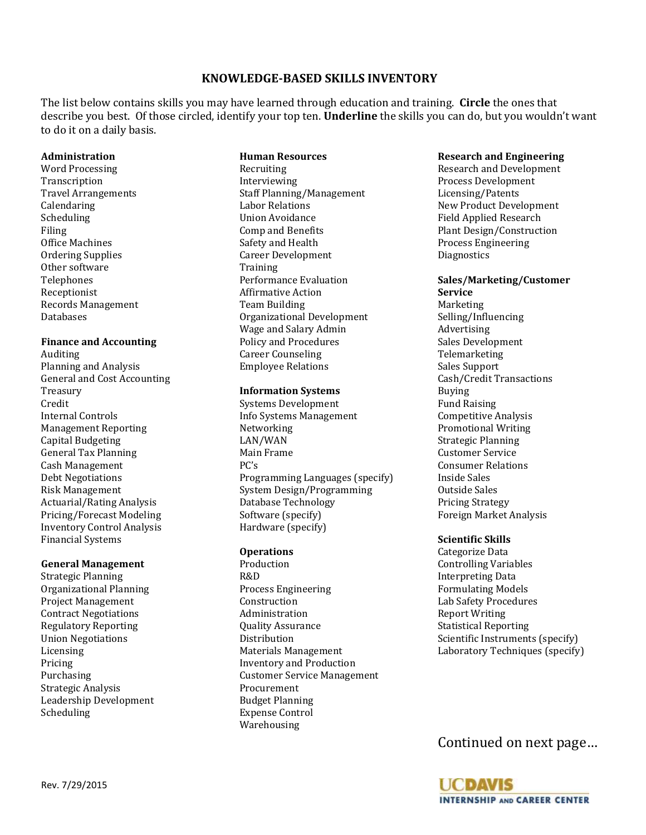# **KNOWLEDGE-BASED SKILLS INVENTORY**

The list below contains skills you may have learned through education and training. **Circle** the ones that describe you best. Of those circled, identify your top ten. **Underline** the skills you can do, but you wouldn't want to do it on a daily basis.

**Human Resources**

#### **Administration**

Word Processing Transcription Travel Arrangements Calendaring Scheduling Filing Office Machines Ordering Supplies Other software Telephones Receptionist Records Management Databases

#### **Finance and Accounting**

Auditing Planning and Analysis General and Cost Accounting Treasury Credit Internal Controls Management Reporting Capital Budgeting General Tax Planning Cash Management Debt Negotiations Risk Management Actuarial/Rating Analysis Pricing/Forecast Modeling Inventory Control Analysis Financial Systems

#### **General Management**

Strategic Planning Organizational Planning Project Management Contract Negotiations Regulatory Reporting Union Negotiations Licensing Pricing Purchasing Strategic Analysis Leadership Development Scheduling

#### Recruiting Interviewing Staff Planning/Management Labor Relations Union Avoidance Comp and Benefits Safety and Health Career Development **Training** Performance Evaluation Affirmative Action Team Building Organizational Development Wage and Salary Admin Policy and Procedures Career Counseling Employee Relations

#### **Information Systems**

Systems Development Info Systems Management Networking LAN/WAN Main Frame PC's Programming Languages (specify) System Design/Programming Database Technology Software (specify) Hardware (specify)

#### **Operations**

Production R&D Process Engineering Construction Administration Quality Assurance Distribution Materials Management Inventory and Production Customer Service Management Procurement Budget Planning Expense Control Warehousing

#### **Research and Engineering**

Research and Development Process Development Licensing/Patents New Product Development Field Applied Research Plant Design/Construction Process Engineering **Diagnostics** 

#### **Sales/Marketing/Customer Service**

Marketing Selling/Influencing Advertising Sales Development Telemarketing Sales Support Cash/Credit Transactions Buying Fund Raising Competitive Analysis Promotional Writing Strategic Planning Customer Service Consumer Relations Inside Sales Outside Sales Pricing Strategy Foreign Market Analysis

### **Scientific Skills**

Categorize Data Controlling Variables Interpreting Data Formulating Models Lab Safety Procedures Report Writing Statistical Reporting Scientific Instruments (specify) Laboratory Techniques (specify)

Continued on next page…